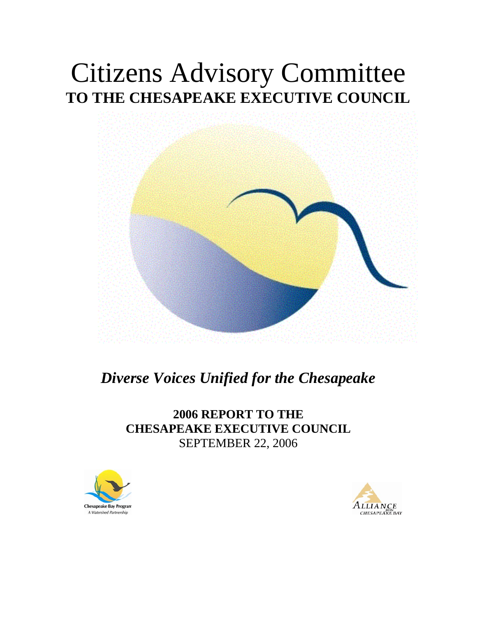# Citizens Advisory Committee **TO THE CHESAPEAKE EXECUTIVE COUNCIL**



# *Diverse Voices Unified for the Chesapeake*

# **2006 REPORT TO THE CHESAPEAKE EXECUTIVE COUNCIL**  SEPTEMBER 22, 2006



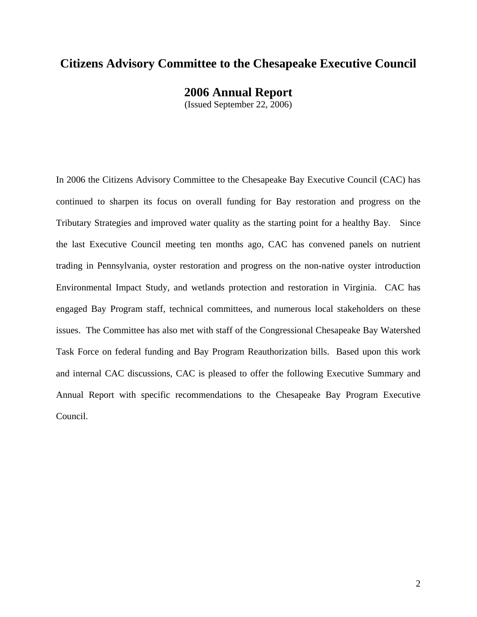### **Citizens Advisory Committee to the Chesapeake Executive Council**

**2006 Annual Report** 

(Issued September 22, 2006)

In 2006 the Citizens Advisory Committee to the Chesapeake Bay Executive Council (CAC) has continued to sharpen its focus on overall funding for Bay restoration and progress on the Tributary Strategies and improved water quality as the starting point for a healthy Bay. Since the last Executive Council meeting ten months ago, CAC has convened panels on nutrient trading in Pennsylvania, oyster restoration and progress on the non-native oyster introduction Environmental Impact Study, and wetlands protection and restoration in Virginia. CAC has engaged Bay Program staff, technical committees, and numerous local stakeholders on these issues. The Committee has also met with staff of the Congressional Chesapeake Bay Watershed Task Force on federal funding and Bay Program Reauthorization bills. Based upon this work and internal CAC discussions, CAC is pleased to offer the following Executive Summary and Annual Report with specific recommendations to the Chesapeake Bay Program Executive Council.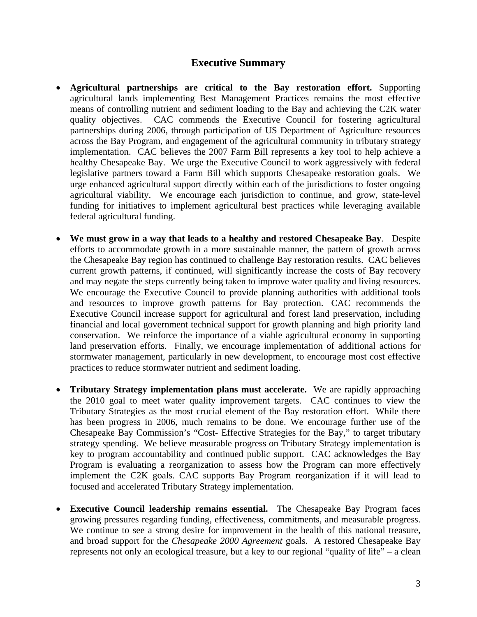#### **Executive Summary**

- **Agricultural partnerships are critical to the Bay restoration effort.** Supporting agricultural lands implementing Best Management Practices remains the most effective means of controlling nutrient and sediment loading to the Bay and achieving the C2K water quality objectives. CAC commends the Executive Council for fostering agricultural partnerships during 2006, through participation of US Department of Agriculture resources across the Bay Program, and engagement of the agricultural community in tributary strategy implementation. CAC believes the 2007 Farm Bill represents a key tool to help achieve a healthy Chesapeake Bay. We urge the Executive Council to work aggressively with federal legislative partners toward a Farm Bill which supports Chesapeake restoration goals. We urge enhanced agricultural support directly within each of the jurisdictions to foster ongoing agricultural viability. We encourage each jurisdiction to continue, and grow, state-level funding for initiatives to implement agricultural best practices while leveraging available federal agricultural funding.
- **We must grow in a way that leads to a healthy and restored Chesapeake Bay**. Despite efforts to accommodate growth in a more sustainable manner, the pattern of growth across the Chesapeake Bay region has continued to challenge Bay restoration results. CAC believes current growth patterns, if continued, will significantly increase the costs of Bay recovery and may negate the steps currently being taken to improve water quality and living resources. We encourage the Executive Council to provide planning authorities with additional tools and resources to improve growth patterns for Bay protection. CAC recommends the Executive Council increase support for agricultural and forest land preservation, including financial and local government technical support for growth planning and high priority land conservation. We reinforce the importance of a viable agricultural economy in supporting land preservation efforts. Finally, we encourage implementation of additional actions for stormwater management, particularly in new development, to encourage most cost effective practices to reduce stormwater nutrient and sediment loading.
- **Tributary Strategy implementation plans must accelerate.** We are rapidly approaching the 2010 goal to meet water quality improvement targets. CAC continues to view the Tributary Strategies as the most crucial element of the Bay restoration effort. While there has been progress in 2006, much remains to be done. We encourage further use of the Chesapeake Bay Commission's "Cost- Effective Strategies for the Bay," to target tributary strategy spending. We believe measurable progress on Tributary Strategy implementation is key to program accountability and continued public support. CAC acknowledges the Bay Program is evaluating a reorganization to assess how the Program can more effectively implement the C2K goals. CAC supports Bay Program reorganization if it will lead to focused and accelerated Tributary Strategy implementation.
- **Executive Council leadership remains essential.** The Chesapeake Bay Program faces growing pressures regarding funding, effectiveness, commitments, and measurable progress. We continue to see a strong desire for improvement in the health of this national treasure, and broad support for the *Chesapeake 2000 Agreement* goals. A restored Chesapeake Bay represents not only an ecological treasure, but a key to our regional "quality of life" – a clean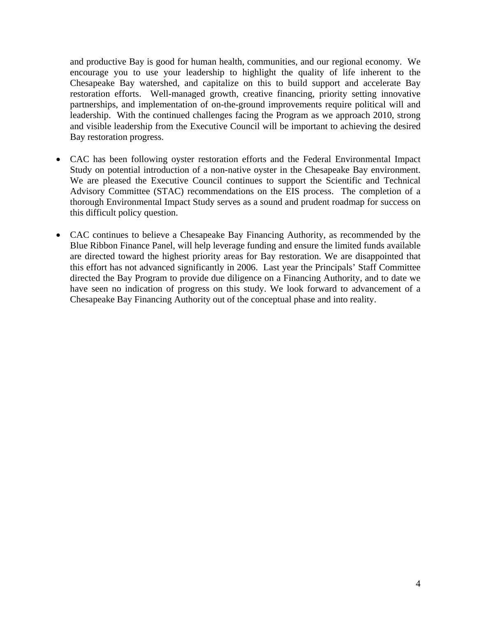and productive Bay is good for human health, communities, and our regional economy. We encourage you to use your leadership to highlight the quality of life inherent to the Chesapeake Bay watershed, and capitalize on this to build support and accelerate Bay restoration efforts. Well-managed growth, creative financing, priority setting innovative partnerships, and implementation of on-the-ground improvements require political will and leadership. With the continued challenges facing the Program as we approach 2010, strong and visible leadership from the Executive Council will be important to achieving the desired Bay restoration progress.

- CAC has been following oyster restoration efforts and the Federal Environmental Impact Study on potential introduction of a non-native oyster in the Chesapeake Bay environment. We are pleased the Executive Council continues to support the Scientific and Technical Advisory Committee (STAC) recommendations on the EIS process. The completion of a thorough Environmental Impact Study serves as a sound and prudent roadmap for success on this difficult policy question.
- CAC continues to believe a Chesapeake Bay Financing Authority, as recommended by the Blue Ribbon Finance Panel, will help leverage funding and ensure the limited funds available are directed toward the highest priority areas for Bay restoration. We are disappointed that this effort has not advanced significantly in 2006. Last year the Principals' Staff Committee directed the Bay Program to provide due diligence on a Financing Authority, and to date we have seen no indication of progress on this study. We look forward to advancement of a Chesapeake Bay Financing Authority out of the conceptual phase and into reality.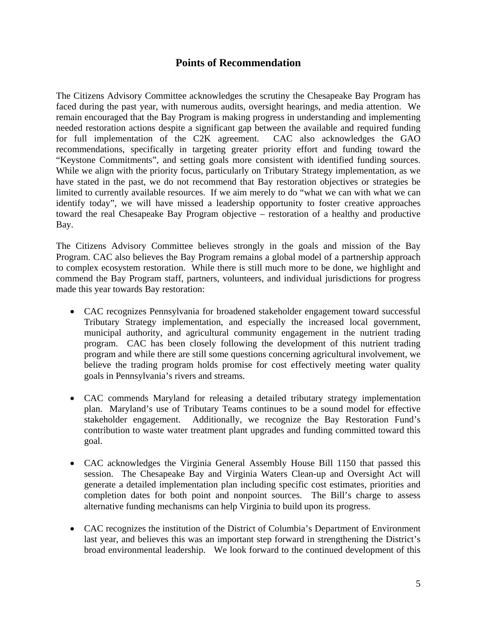#### **Points of Recommendation**

The Citizens Advisory Committee acknowledges the scrutiny the Chesapeake Bay Program has faced during the past year, with numerous audits, oversight hearings, and media attention. We remain encouraged that the Bay Program is making progress in understanding and implementing needed restoration actions despite a significant gap between the available and required funding for full implementation of the C2K agreement. CAC also acknowledges the GAO recommendations, specifically in targeting greater priority effort and funding toward the "Keystone Commitments", and setting goals more consistent with identified funding sources. While we align with the priority focus, particularly on Tributary Strategy implementation, as we have stated in the past, we do not recommend that Bay restoration objectives or strategies be limited to currently available resources. If we aim merely to do "what we can with what we can identify today", we will have missed a leadership opportunity to foster creative approaches toward the real Chesapeake Bay Program objective – restoration of a healthy and productive Bay.

The Citizens Advisory Committee believes strongly in the goals and mission of the Bay Program. CAC also believes the Bay Program remains a global model of a partnership approach to complex ecosystem restoration. While there is still much more to be done, we highlight and commend the Bay Program staff, partners, volunteers, and individual jurisdictions for progress made this year towards Bay restoration:

- CAC recognizes Pennsylvania for broadened stakeholder engagement toward successful Tributary Strategy implementation, and especially the increased local government, municipal authority, and agricultural community engagement in the nutrient trading program. CAC has been closely following the development of this nutrient trading program and while there are still some questions concerning agricultural involvement, we believe the trading program holds promise for cost effectively meeting water quality goals in Pennsylvania's rivers and streams.
- CAC commends Maryland for releasing a detailed tributary strategy implementation plan. Maryland's use of Tributary Teams continues to be a sound model for effective stakeholder engagement. Additionally, we recognize the Bay Restoration Fund's contribution to waste water treatment plant upgrades and funding committed toward this goal.
- CAC acknowledges the Virginia General Assembly House Bill 1150 that passed this session. The Chesapeake Bay and Virginia Waters Clean-up and Oversight Act will generate a detailed implementation plan including specific cost estimates, priorities and completion dates for both point and nonpoint sources. The Bill's charge to assess alternative funding mechanisms can help Virginia to build upon its progress.
- CAC recognizes the institution of the District of Columbia's Department of Environment last year, and believes this was an important step forward in strengthening the District's broad environmental leadership. We look forward to the continued development of this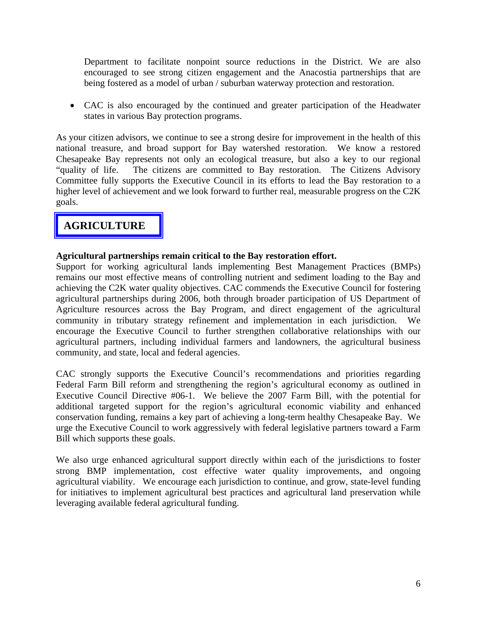Department to facilitate nonpoint source reductions in the District. We are also encouraged to see strong citizen engagement and the Anacostia partnerships that are being fostered as a model of urban / suburban waterway protection and restoration.

• CAC is also encouraged by the continued and greater participation of the Headwater states in various Bay protection programs.

As your citizen advisors, we continue to see a strong desire for improvement in the health of this national treasure, and broad support for Bay watershed restoration. We know a restored Chesapeake Bay represents not only an ecological treasure, but also a key to our regional "quality of life. The citizens are committed to Bay restoration. The Citizens Advisory Committee fully supports the Executive Council in its efforts to lead the Bay restoration to a higher level of achievement and we look forward to further real, measurable progress on the C2K goals.

# **AGRICULTURE**

#### **Agricultural partnerships remain critical to the Bay restoration effort.**

Support for working agricultural lands implementing Best Management Practices (BMPs) remains our most effective means of controlling nutrient and sediment loading to the Bay and achieving the C2K water quality objectives. CAC commends the Executive Council for fostering agricultural partnerships during 2006, both through broader participation of US Department of Agriculture resources across the Bay Program, and direct engagement of the agricultural community in tributary strategy refinement and implementation in each jurisdiction. We encourage the Executive Council to further strengthen collaborative relationships with our agricultural partners, including individual farmers and landowners, the agricultural business community, and state, local and federal agencies.

CAC strongly supports the Executive Council's recommendations and priorities regarding Federal Farm Bill reform and strengthening the region's agricultural economy as outlined in Executive Council Directive #06-1. We believe the 2007 Farm Bill, with the potential for additional targeted support for the region's agricultural economic viability and enhanced conservation funding, remains a key part of achieving a long-term healthy Chesapeake Bay. We urge the Executive Council to work aggressively with federal legislative partners toward a Farm Bill which supports these goals.

We also urge enhanced agricultural support directly within each of the jurisdictions to foster strong BMP implementation, cost effective water quality improvements, and ongoing agricultural viability. We encourage each jurisdiction to continue, and grow, state-level funding for initiatives to implement agricultural best practices and agricultural land preservation while leveraging available federal agricultural funding.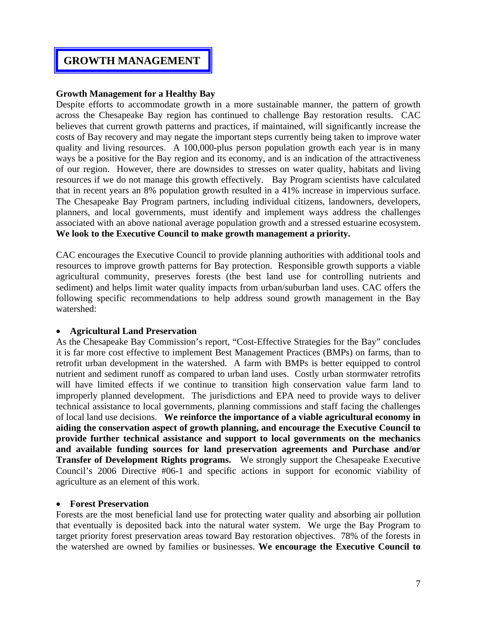## **GROWTH MANAGEMENT**

#### **Growth Management for a Healthy Bay**

Despite efforts to accommodate growth in a more sustainable manner, the pattern of growth across the Chesapeake Bay region has continued to challenge Bay restoration results. CAC believes that current growth patterns and practices, if maintained, will significantly increase the costs of Bay recovery and may negate the important steps currently being taken to improve water quality and living resources. A 100,000-plus person population growth each year is in many ways be a positive for the Bay region and its economy, and is an indication of the attractiveness of our region. However, there are downsides to stresses on water quality, habitats and living resources if we do not manage this growth effectively. Bay Program scientists have calculated that in recent years an 8% population growth resulted in a 41% increase in impervious surface. The Chesapeake Bay Program partners, including individual citizens, landowners, developers, planners, and local governments, must identify and implement ways address the challenges associated with an above national average population growth and a stressed estuarine ecosystem. **We look to the Executive Council to make growth management a priority.** 

CAC encourages the Executive Council to provide planning authorities with additional tools and resources to improve growth patterns for Bay protection. Responsible growth supports a viable agricultural community, preserves forests (the best land use for controlling nutrients and sediment) and helps limit water quality impacts from urban/suburban land uses. CAC offers the following specific recommendations to help address sound growth management in the Bay watershed:

#### • **Agricultural Land Preservation**

As the Chesapeake Bay Commission's report, "Cost-Effective Strategies for the Bay" concludes it is far more cost effective to implement Best Management Practices (BMPs) on farms, than to retrofit urban development in the watershed. A farm with BMPs is better equipped to control nutrient and sediment runoff as compared to urban land uses. Costly urban stormwater retrofits will have limited effects if we continue to transition high conservation value farm land to improperly planned development. The jurisdictions and EPA need to provide ways to deliver technical assistance to local governments, planning commissions and staff facing the challenges of local land use decisions. **We reinforce the importance of a viable agricultural economy in aiding the conservation aspect of growth planning, and encourage the Executive Council to provide further technical assistance and support to local governments on the mechanics and available funding sources for land preservation agreements and Purchase and/or Transfer of Development Rights programs.** We strongly support the Chesapeake Executive Council's 2006 Directive #06-1 and specific actions in support for economic viability of agriculture as an element of this work.

#### • **Forest Preservation**

Forests are the most beneficial land use for protecting water quality and absorbing air pollution that eventually is deposited back into the natural water system. We urge the Bay Program to target priority forest preservation areas toward Bay restoration objectives. 78% of the forests in the watershed are owned by families or businesses. **We encourage the Executive Council to**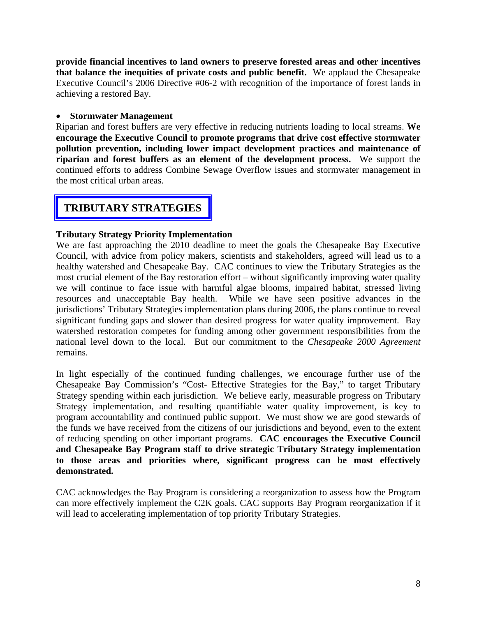**provide financial incentives to land owners to preserve forested areas and other incentives that balance the inequities of private costs and public benefit.** We applaud the Chesapeake Executive Council's 2006 Directive #06-2 with recognition of the importance of forest lands in achieving a restored Bay.

#### • **Stormwater Management**

Riparian and forest buffers are very effective in reducing nutrients loading to local streams. **We encourage the Executive Council to promote programs that drive cost effective stormwater pollution prevention, including lower impact development practices and maintenance of riparian and forest buffers as an element of the development process.** We support the continued efforts to address Combine Sewage Overflow issues and stormwater management in the most critical urban areas.

# **TRIBUTARY STRATEGIES**

#### **Tributary Strategy Priority Implementation**

We are fast approaching the 2010 deadline to meet the goals the Chesapeake Bay Executive Council, with advice from policy makers, scientists and stakeholders, agreed will lead us to a healthy watershed and Chesapeake Bay. CAC continues to view the Tributary Strategies as the most crucial element of the Bay restoration effort – without significantly improving water quality we will continue to face issue with harmful algae blooms, impaired habitat, stressed living resources and unacceptable Bay health. While we have seen positive advances in the jurisdictions' Tributary Strategies implementation plans during 2006, the plans continue to reveal significant funding gaps and slower than desired progress for water quality improvement. Bay watershed restoration competes for funding among other government responsibilities from the national level down to the local. But our commitment to the *Chesapeake 2000 Agreement* remains.

In light especially of the continued funding challenges, we encourage further use of the Chesapeake Bay Commission's "Cost- Effective Strategies for the Bay," to target Tributary Strategy spending within each jurisdiction. We believe early, measurable progress on Tributary Strategy implementation, and resulting quantifiable water quality improvement, is key to program accountability and continued public support. We must show we are good stewards of the funds we have received from the citizens of our jurisdictions and beyond, even to the extent of reducing spending on other important programs. **CAC encourages the Executive Council and Chesapeake Bay Program staff to drive strategic Tributary Strategy implementation to those areas and priorities where, significant progress can be most effectively demonstrated.** 

CAC acknowledges the Bay Program is considering a reorganization to assess how the Program can more effectively implement the C2K goals. CAC supports Bay Program reorganization if it will lead to accelerating implementation of top priority Tributary Strategies.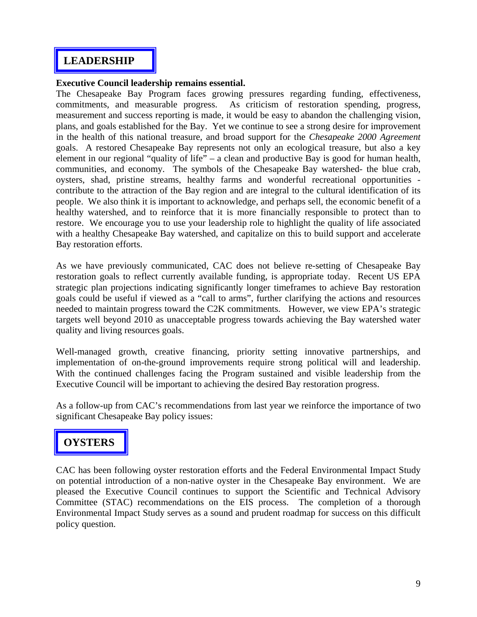# **LEADERSHIP**

#### **Executive Council leadership remains essential.**

The Chesapeake Bay Program faces growing pressures regarding funding, effectiveness, commitments, and measurable progress. As criticism of restoration spending, progress, measurement and success reporting is made, it would be easy to abandon the challenging vision, plans, and goals established for the Bay. Yet we continue to see a strong desire for improvement in the health of this national treasure, and broad support for the *Chesapeake 2000 Agreement*  goals. A restored Chesapeake Bay represents not only an ecological treasure, but also a key element in our regional "quality of life" – a clean and productive Bay is good for human health, communities, and economy. The symbols of the Chesapeake Bay watershed- the blue crab, oysters, shad, pristine streams, healthy farms and wonderful recreational opportunities contribute to the attraction of the Bay region and are integral to the cultural identification of its people. We also think it is important to acknowledge, and perhaps sell, the economic benefit of a healthy watershed, and to reinforce that it is more financially responsible to protect than to restore. We encourage you to use your leadership role to highlight the quality of life associated with a healthy Chesapeake Bay watershed, and capitalize on this to build support and accelerate Bay restoration efforts.

As we have previously communicated, CAC does not believe re-setting of Chesapeake Bay restoration goals to reflect currently available funding, is appropriate today. Recent US EPA strategic plan projections indicating significantly longer timeframes to achieve Bay restoration goals could be useful if viewed as a "call to arms", further clarifying the actions and resources needed to maintain progress toward the C2K commitments. However, we view EPA's strategic targets well beyond 2010 as unacceptable progress towards achieving the Bay watershed water quality and living resources goals.

Well-managed growth, creative financing, priority setting innovative partnerships, and implementation of on-the-ground improvements require strong political will and leadership. With the continued challenges facing the Program sustained and visible leadership from the Executive Council will be important to achieving the desired Bay restoration progress.

As a follow-up from CAC's recommendations from last year we reinforce the importance of two significant Chesapeake Bay policy issues:

# **OYSTERS**

CAC has been following oyster restoration efforts and the Federal Environmental Impact Study on potential introduction of a non-native oyster in the Chesapeake Bay environment. We are pleased the Executive Council continues to support the Scientific and Technical Advisory Committee (STAC) recommendations on the EIS process. The completion of a thorough Environmental Impact Study serves as a sound and prudent roadmap for success on this difficult policy question.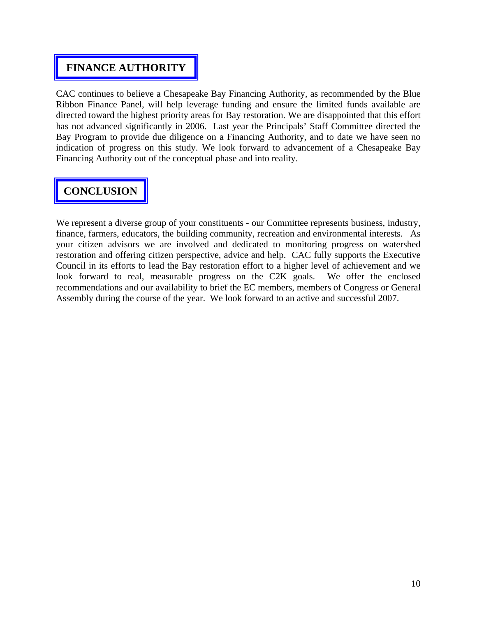# **FINANCE AUTHORITY**

CAC continues to believe a Chesapeake Bay Financing Authority, as recommended by the Blue Ribbon Finance Panel, will help leverage funding and ensure the limited funds available are directed toward the highest priority areas for Bay restoration. We are disappointed that this effort has not advanced significantly in 2006. Last year the Principals' Staff Committee directed the Bay Program to provide due diligence on a Financing Authority, and to date we have seen no indication of progress on this study. We look forward to advancement of a Chesapeake Bay Financing Authority out of the conceptual phase and into reality.

# **CONCLUSION**

We represent a diverse group of your constituents - our Committee represents business, industry, finance, farmers, educators, the building community, recreation and environmental interests. As your citizen advisors we are involved and dedicated to monitoring progress on watershed restoration and offering citizen perspective, advice and help. CAC fully supports the Executive Council in its efforts to lead the Bay restoration effort to a higher level of achievement and we look forward to real, measurable progress on the C2K goals. We offer the enclosed recommendations and our availability to brief the EC members, members of Congress or General Assembly during the course of the year. We look forward to an active and successful 2007.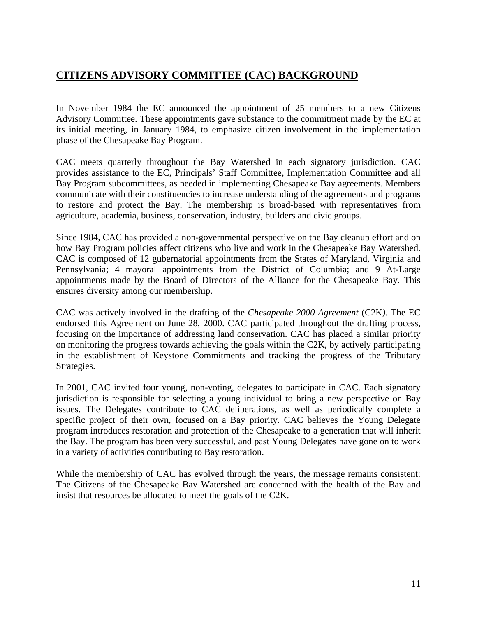# **CITIZENS ADVISORY COMMITTEE (CAC) BACKGROUND**

In November 1984 the EC announced the appointment of 25 members to a new Citizens Advisory Committee. These appointments gave substance to the commitment made by the EC at its initial meeting, in January 1984, to emphasize citizen involvement in the implementation phase of the Chesapeake Bay Program.

CAC meets quarterly throughout the Bay Watershed in each signatory jurisdiction. CAC provides assistance to the EC, Principals' Staff Committee, Implementation Committee and all Bay Program subcommittees, as needed in implementing Chesapeake Bay agreements. Members communicate with their constituencies to increase understanding of the agreements and programs to restore and protect the Bay. The membership is broad-based with representatives from agriculture, academia, business, conservation, industry, builders and civic groups.

Since 1984, CAC has provided a non-governmental perspective on the Bay cleanup effort and on how Bay Program policies affect citizens who live and work in the Chesapeake Bay Watershed. CAC is composed of 12 gubernatorial appointments from the States of Maryland, Virginia and Pennsylvania; 4 mayoral appointments from the District of Columbia; and 9 At-Large appointments made by the Board of Directors of the Alliance for the Chesapeake Bay. This ensures diversity among our membership.

CAC was actively involved in the drafting of the *Chesapeake 2000 Agreement* (C2K*).* The EC endorsed this Agreement on June 28, 2000. CAC participated throughout the drafting process, focusing on the importance of addressing land conservation. CAC has placed a similar priority on monitoring the progress towards achieving the goals within the C2K, by actively participating in the establishment of Keystone Commitments and tracking the progress of the Tributary Strategies.

In 2001, CAC invited four young, non-voting, delegates to participate in CAC. Each signatory jurisdiction is responsible for selecting a young individual to bring a new perspective on Bay issues. The Delegates contribute to CAC deliberations, as well as periodically complete a specific project of their own, focused on a Bay priority. CAC believes the Young Delegate program introduces restoration and protection of the Chesapeake to a generation that will inherit the Bay. The program has been very successful, and past Young Delegates have gone on to work in a variety of activities contributing to Bay restoration.

While the membership of CAC has evolved through the years, the message remains consistent: The Citizens of the Chesapeake Bay Watershed are concerned with the health of the Bay and insist that resources be allocated to meet the goals of the C2K.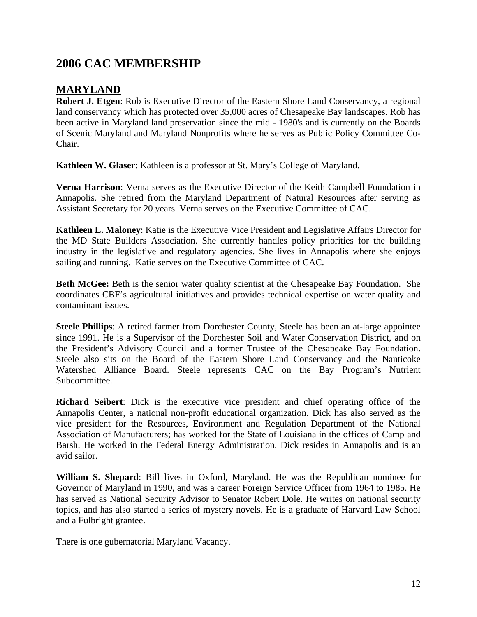# **2006 CAC MEMBERSHIP**

# **MARYLAND**

**Robert J. Etgen**: Rob is Executive Director of the Eastern Shore Land Conservancy, a regional land conservancy which has protected over 35,000 acres of Chesapeake Bay landscapes. Rob has been active in Maryland land preservation since the mid - 1980's and is currently on the Boards of Scenic Maryland and Maryland Nonprofits where he serves as Public Policy Committee Co-Chair.

**Kathleen W. Glaser**: Kathleen is a professor at St. Mary's College of Maryland.

**Verna Harrison**: Verna serves as the Executive Director of the Keith Campbell Foundation in Annapolis. She retired from the Maryland Department of Natural Resources after serving as Assistant Secretary for 20 years. Verna serves on the Executive Committee of CAC.

**Kathleen L. Maloney**: Katie is the Executive Vice President and Legislative Affairs Director for the MD State Builders Association. She currently handles policy priorities for the building industry in the legislative and regulatory agencies. She lives in Annapolis where she enjoys sailing and running. Katie serves on the Executive Committee of CAC.

**Beth McGee:** Beth is the senior water quality scientist at the Chesapeake Bay Foundation. She coordinates CBF's agricultural initiatives and provides technical expertise on water quality and contaminant issues.

**Steele Phillips**: A retired farmer from Dorchester County, Steele has been an at-large appointee since 1991. He is a Supervisor of the Dorchester Soil and Water Conservation District, and on the President's Advisory Council and a former Trustee of the Chesapeake Bay Foundation. Steele also sits on the Board of the Eastern Shore Land Conservancy and the Nanticoke Watershed Alliance Board. Steele represents CAC on the Bay Program's Nutrient Subcommittee.

**Richard Seibert**: Dick is the executive vice president and chief operating office of the Annapolis Center, a national non-profit educational organization. Dick has also served as the vice president for the Resources, Environment and Regulation Department of the National Association of Manufacturers; has worked for the State of Louisiana in the offices of Camp and Barsh. He worked in the Federal Energy Administration. Dick resides in Annapolis and is an avid sailor.

**William S. Shepard**: Bill lives in Oxford, Maryland. He was the Republican nominee for Governor of Maryland in 1990, and was a career Foreign Service Officer from 1964 to 1985. He has served as National Security Advisor to Senator Robert Dole. He writes on national security topics, and has also started a series of mystery novels. He is a graduate of Harvard Law School and a Fulbright grantee.

There is one gubernatorial Maryland Vacancy.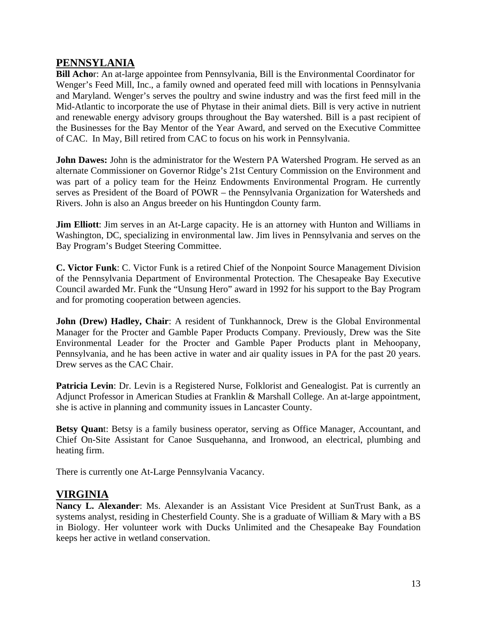#### **PENNSYLANIA**

**Bill Acho**r: An at-large appointee from Pennsylvania, Bill is the Environmental Coordinator for Wenger's Feed Mill, Inc., a family owned and operated feed mill with locations in Pennsylvania and Maryland. Wenger's serves the poultry and swine industry and was the first feed mill in the Mid-Atlantic to incorporate the use of Phytase in their animal diets. Bill is very active in nutrient and renewable energy advisory groups throughout the Bay watershed. Bill is a past recipient of the Businesses for the Bay Mentor of the Year Award, and served on the Executive Committee of CAC.In May, Bill retired from CAC to focus on his work in Pennsylvania.

**John Dawes:** John is the administrator for the Western PA Watershed Program. He served as an alternate Commissioner on Governor Ridge's 21st Century Commission on the Environment and was part of a policy team for the Heinz Endowments Environmental Program. He currently serves as President of the Board of POWR – the Pennsylvania Organization for Watersheds and Rivers. John is also an Angus breeder on his Huntingdon County farm.

**Jim Elliott**: Jim serves in an At-Large capacity. He is an attorney with Hunton and Williams in Washington, DC, specializing in environmental law. Jim lives in Pennsylvania and serves on the Bay Program's Budget Steering Committee.

**C. Victor Funk**: C. Victor Funk is a retired Chief of the Nonpoint Source Management Division of the Pennsylvania Department of Environmental Protection. The Chesapeake Bay Executive Council awarded Mr. Funk the "Unsung Hero" award in 1992 for his support to the Bay Program and for promoting cooperation between agencies.

John (Drew) Hadley, Chair: A resident of Tunkhannock, Drew is the Global Environmental Manager for the Procter and Gamble Paper Products Company. Previously, Drew was the Site Environmental Leader for the Procter and Gamble Paper Products plant in Mehoopany, Pennsylvania, and he has been active in water and air quality issues in PA for the past 20 years. Drew serves as the CAC Chair.

Patricia Levin: Dr. Levin is a Registered Nurse, Folklorist and Genealogist. Pat is currently an Adjunct Professor in American Studies at Franklin & Marshall College. An at-large appointment, she is active in planning and community issues in Lancaster County.

**Betsy Quan**t: Betsy is a family business operator, serving as Office Manager, Accountant, and Chief On-Site Assistant for Canoe Susquehanna, and Ironwood, an electrical, plumbing and heating firm.

There is currently one At-Large Pennsylvania Vacancy.

### **VIRGINIA**

**Nancy L. Alexander**: Ms. Alexander is an Assistant Vice President at SunTrust Bank, as a systems analyst, residing in Chesterfield County. She is a graduate of William & Mary with a BS in Biology. Her volunteer work with Ducks Unlimited and the Chesapeake Bay Foundation keeps her active in wetland conservation.